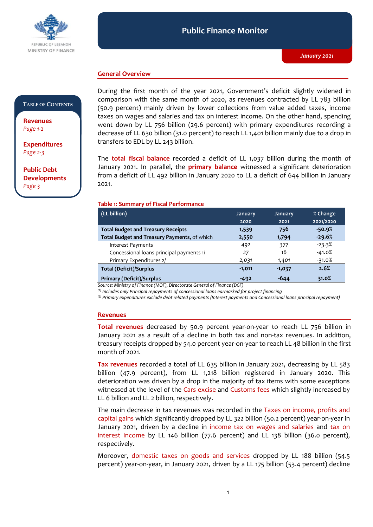

#### **Public Finance Monitor** *January 2021* **Public Finance Monitor**

## **General Overview**

### **TABLE OF CONTENTS**

**Revenues**  *Page 1-2*

**Expenditures**  *Page 2-3*

**Public Debt Developments** *Page 3*

During the first month of the year 2021, Government's deficit slightly widened in comparison with the same month of 2020, as revenues contracted by LL 783 billion (50.9 percent) mainly driven by lower collections from value added taxes, income taxes on wages and salaries and tax on interest income. On the other hand, spending went down by LL 756 billion (29.6 percent) with primary expenditures recording a decrease of LL 630 billion (31.0 percent) to reach LL 1,401 billion mainly due to a drop in transfers to EDL by LL 243 billion.

The **total fiscal balance** recorded a deficit of LL 1,037 billion during the month of January 2021. In parallel, the **primary balance** witnessed a significant deterioration from a deficit of LL 492 billion in January 2020 to LL a deficit of 644 billion in January 2021.

#### **Table 1: Summary of Fiscal Performance**

| (LL billion)                                 | <b>January</b> | <b>January</b> | % Change  |
|----------------------------------------------|----------------|----------------|-----------|
|                                              | 2020           | 2021           | 2021/2020 |
| <b>Total Budget and Treasury Receipts</b>    | 1,539          | 756            | $-50.9%$  |
| Total Budget and Treasury Payments, of which | 2,550          | 1,794          | $-29.6%$  |
| <b>Interest Payments</b>                     | 492            | 377            | $-23.3%$  |
| Concessional loans principal payments 1/     | 27             | 16             | $-41.0%$  |
| Primary Expenditures 2/                      | 2,031          | 1,401          | $-31.0%$  |
| <b>Total (Deficit)/Surplus</b>               | $-1,011$       | $-1,037$       | 2.6%      |
| <b>Primary (Deficit)/Surplus</b>             | $-492$         | -644           | 31.0%     |

*Source: Ministry of Finance (MOF), Directorate General of Finance (DGF)*

*(1) Includes only Principal repayments of concessional loans earmarked for project financing*

*(2) Primary expenditures exclude debt related payments (Interest payments and Concessional loans principal repayment)*

### **Revenues**

**Total revenues** decreased by 50.9 percent year-on-year to reach LL 756 billion in January 2021 as a result of a decline in both tax and non-tax revenues. In addition, treasury receipts dropped by 54.0 percent year-on-year to reach LL 48 billion in the first month of 2021.

**Tax revenues** recorded a total of LL 635 billion in January 2021, decreasing by LL 583 billion (47.9 percent), from LL 1,218 billion registered in January 2020. This deterioration was driven by a drop in the majority of tax items with some exceptions witnessed at the level of the Cars excise and Customs fees which slightly increased by LL 6 billion and LL 2 billion, respectively.

The main decrease in tax revenues was recorded in the Taxes on income, profits and capital gains which significantly dropped by LL 322 billion (50.2 percent) year-on-year in January 2021, driven by a decline in income tax on wages and salaries and tax on interest income by LL 146 billion (77.6 percent) and LL 138 billion (36.0 percent), respectively.

Moreover, domestic taxes on goods and services dropped by LL 188 billion (54.5 percent) year-on-year, in January 2021, driven by a LL 175 billion (53.4 percent) decline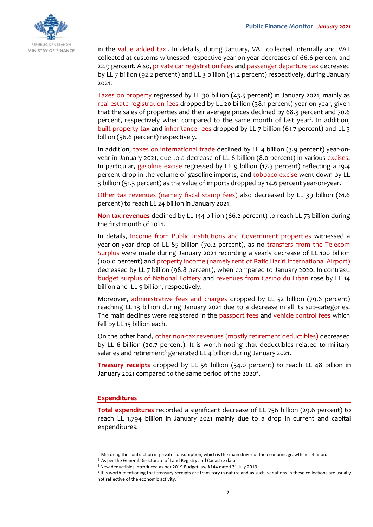

in the value added tax<sup>1</sup>. In details, during January, VAT collected internally and VAT collected at customs witnessed respective year-on-year decreases of 66.6 percent and 22.9 percent. Also, private car registration fees and passenger departure tax decreased by LL 7 billion (92.2 percent) and LL 3 billion (41.2 percent) respectively, during January 2021.

Taxes on property regressed by LL 30 billion (43.5 percent) in January 2021, mainly as real estate registration fees dropped by LL 20 billion (38.1 percent) year-on-year, given that the sales of properties and their average prices declined by 68.3 percent and 70.6 percent, respectively when compared to the same month of last year<sup>2</sup>. In addition, built property tax and inheritance fees dropped by LL 7 billion (61.7 percent) and LL 3 billion (56.6 percent) respectively.

In addition, taxes on international trade declined by LL 4 billion (3.9 percent) year-onyear in January 2021, due to a decrease of LL 6 billion (8.0 percent) in various excises. In particular, gasoline excise regressed by LL 9 billion (17.3 percent) reflecting a 19.4 percent drop in the volume of gasoline imports, and tobbaco excise went down by LL 3 billion (51.3 percent) as the value of imports dropped by 14.6 percent year-on-year.

Other tax revenues (namely fiscal stamp fees) also decreased by LL 39 billion (61.6 percent) to reach LL 24 billion in January 2021.

**Non-tax revenues** declined by LL 144 billion (66.2 percent) to reach LL 73 billion during the first month of 2021.

In details, Income from Public Institutions and Government properties witnessed a year-on-year drop of LL 85 billion (70.2 percent), as no transfers from the Telecom Surplus were made during January 2021 recording a yearly decrease of LL 100 billion (100.0 percent) and property income (namely rent of Rafic Hariri International Airport) decreased by LL 7 billion (98.8 percent), when compared to January 2020. In contrast, budget surplus of National Lottery and revenues from Casino du Liban rose by LL 14 billion and LL 9 billion, respectively.

Moreover, administrative fees and charges dropped by LL 52 billion (79.6 percent) reaching LL 13 billion during January 2021 due to a decrease in all its sub-categories. The main declines were registered in the passport fees and vehicle control fees which fell by LL 15 billion each.

On the other hand, other non-tax revenues (mostly retirement deductibles) decreased by LL 6 billion (20.7 percent). It is worth noting that deductibles related to military salaries and retirement<sup>3</sup> generated LL 4 billion during January 2021.

**Treasury receipts** dropped by LL 56 billion (54.0 percent) to reach LL 48 billion in January 2021 compared to the same period of the 2020<sup>4</sup>.

## **Expenditures**

-

**Total expenditures** recorded a significant decrease of LL 756 billion (29.6 percent) to reach LL 1,794 billion in January 2021 mainly due to a drop in current and capital expenditures.

<sup>1</sup> Mirroring the contraction in private consumption, which is the main driver of the economic growth in Lebanon.

<sup>&</sup>lt;sup>2</sup> As per the General Directorate of Land Registry and Cadastre data.

<sup>3</sup> New deductibles introduced as per 2019 Budget law #144 dated 31 July 2019.

<sup>4</sup> It is worth mentioning that treasury receipts are transitory in nature and as such, variations in these collections are usually not reflective of the economic activity.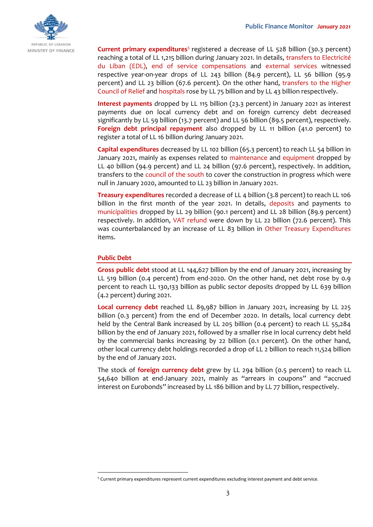

**Current primary expenditures**<sup>5</sup> registered a decrease of LL 528 billion (30.3 percent) reaching a total of LL 1,215 billion during January 2021. In details, transfers to Electricité du Liban (EDL), end of service compensations and external services witnessed respective year-on-year drops of LL 243 billion (84.9 percent), LL 56 billion (95.9 percent) and LL 23 billion (67.6 percent). On the other hand, transfers to the Higher Council of Relief and hospitals rose by LL 75 billion and by LL 43 billion respectively.

**Interest payments** dropped by LL 115 billion (23.3 percent) in January 2021 as interest payments due on local currency debt and on foreign currency debt decreased significantly by LL 59 billion (13.7 percent) and LL 56 billion (89.5 percent), respectively. **Foreign debt principal repayment** also dropped by LL 11 billion (41.0 percent) to register a total of LL 16 billion during January 2021.

**Capital expenditures** decreased by LL 102 billion (65.3 percent) to reach LL 54 billion in January 2021, mainly as expenses related to maintenance and equipment dropped by LL 40 billion (94.9 percent) and LL 24 billion (97.6 percent), respectively. In addition, transfers to the council of the south to cover the construction in progress which were null in January 2020, amounted to LL 23 billion in January 2021.

**Treasury expenditures** recorded a decrease of LL 4 billion (3.8 percent) to reach LL 106 billion in the first month of the year 2021. In details, deposits and payments to municipalities dropped by LL 29 billion (90.1 percent) and LL 28 billion (89.9 percent) respectively. In addition, VAT refund were down by LL 22 billion (72.6 percent). This was counterbalanced by an increase of LL 83 billion in Other Treasury Expenditures items.

### **Public Debt**

-

**Gross public debt** stood at LL 144,627 billion by the end of January 2021, increasing by LL 519 billion (0.4 percent) from end-2020. On the other hand, net debt rose by 0.9 percent to reach LL 130,133 billion as public sector deposits dropped by LL 639 billion (4.2 percent) during 2021.

**Local currency debt** reached LL 89,987 billion in January 2021, increasing by LL 225 billion (0.3 percent) from the end of December 2020. In details, local currency debt held by the Central Bank increased by LL 205 billion (0.4 percent) to reach LL 55,284 billion by the end of January 2021, followed by a smaller rise in local currency debt held by the commercial banks increasing by 22 billion (0.1 percent). On the other hand, other local currency debt holdings recorded a drop of LL 2 billion to reach 11,524 billion by the end of January 2021.

The stock of **foreign currency debt** grew by LL 294 billion (0.5 percent) to reach LL 54,640 billion at end-January 2021, mainly as "arrears in coupons" and "accrued interest on Eurobonds" increased by LL 186 billion and by LL 77 billion, respectively.

<sup>5</sup> Current primary expenditures represent current expenditures excluding interest payment and debt service.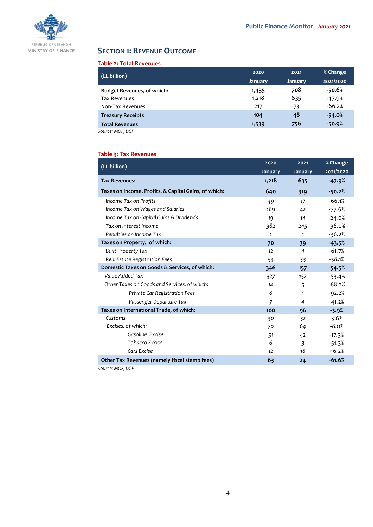

# **SECTION 1: REVENUE OUTCOME**

#### **Table 2: Total Revenues**

| (LL billion)                      | 2020           | 2021           | % Change  |
|-----------------------------------|----------------|----------------|-----------|
|                                   | <b>January</b> | <b>January</b> | 2021/2020 |
| <b>Budget Revenues, of which:</b> | 1,435          | 708            | $-50.6%$  |
| <b>Tax Revenues</b>               | 1,218          | 635            | $-47.9%$  |
| Non-Tax Revenues                  | 217            | 73             | $-66.2%$  |
| <b>Treasury Receipts</b>          | 104            | 48             | $-54.0%$  |
| <b>Total Revenues</b>             | 1,539          | 756            | $-50.9%$  |

*Source: MOF, DGF*

### **Table 3: Tax Revenues**

| (LL billion)                                         | 2020           | 2021                    | % Change  |
|------------------------------------------------------|----------------|-------------------------|-----------|
|                                                      | <b>January</b> | January                 | 2021/2020 |
| <b>Tax Revenues:</b>                                 | 1,218          | 635                     | $-47.9%$  |
| Taxes on Income, Profits, & Capital Gains, of which: | 640            | 319                     | $-50.2%$  |
| Income Tax on Profits                                | 49             | 17                      | $-66.1%$  |
| Income Tax on Wages and Salaries                     | 189            | 42                      | $-77.6%$  |
| Income Tax on Capital Gains & Dividends              | 19             | 14                      | $-24.0%$  |
| Tax on Interest Income                               | 382            | 245                     | $-36.0%$  |
| Penalties on Income Tax                              | $\mathbf{1}$   | 1                       | $-36.2%$  |
| Taxes on Property, of which:                         | 70             | 39                      | $-43.5%$  |
| <b>Built Property Tax</b>                            | 12             | $\overline{4}$          | $-61.7%$  |
| Real Estate Registration Fees                        | 53             | 33                      | $-38.1%$  |
| Domestic Taxes on Goods & Services, of which:        | 346            | 157                     | $-54.5%$  |
| Value Added Tax                                      | 327            | 152                     | $-53.4%$  |
| Other Taxes on Goods and Services, of which:         | 14             | 5                       | $-68.2%$  |
| Private Car Registration Fees                        | 8              | 1                       | $-92.2%$  |
| Passenger Departure Tax                              | $\overline{7}$ | 4                       | $-41.2%$  |
| Taxes on International Trade, of which:              | 100            | 96                      | $-3.9%$   |
| Customs                                              | 30             | 32                      | 5.6%      |
| Excises, of which:                                   | 70             | 64                      | $-8.0%$   |
| Gasoline Excise                                      | 51             | 42                      | $-17.3%$  |
| <b>Tobacco Excise</b>                                | 6              | $\overline{\mathbf{3}}$ | $-51.3%$  |
| Cars Excise                                          | 12             | 18                      | 46.2%     |
| Other Tax Revenues (namely fiscal stamp fees)        | 63             | 24                      | $-61.6%$  |

*Source: MOF, DGF*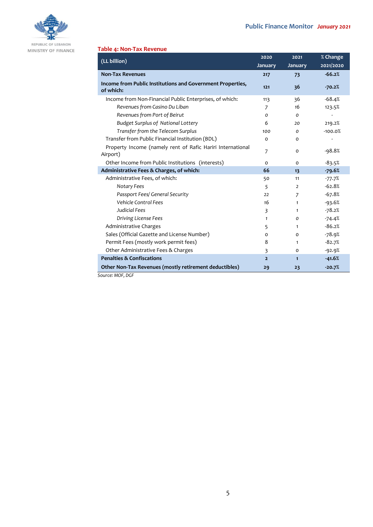

MINISTRY OF FINANCE

## **Table 4: Non-Tax Revenue**

| (LL billion)                                                            | 2020           | 2021           | % Change  |
|-------------------------------------------------------------------------|----------------|----------------|-----------|
|                                                                         | January        | January        | 2021/2020 |
| <b>Non-Tax Revenues</b>                                                 | 217            | 73             | $-66.2%$  |
| Income from Public Institutions and Government Properties,<br>of which: | $121$          | 36             | $-70.2%$  |
| Income from Non-Financial Public Enterprises, of which:                 | 113            | 36             | $-68.4%$  |
| Revenues from Casino Du Liban                                           | 7              | 16             | 123.5%    |
| Revenues from Port of Beirut                                            | O              | $\Omega$       |           |
| <b>Budget Surplus of National Lottery</b>                               | 6              | 20             | 219.2%    |
| Transfer from the Telecom Surplus                                       | 100            | 0              | $-100.0%$ |
| Transfer from Public Financial Institution (BDL)                        | o              | $\Omega$       |           |
| Property Income (namely rent of Rafic Hariri International<br>Airport)  | $\overline{7}$ | $\Omega$       | $-98.8%$  |
| Other Income from Public Institutions (interests)                       | $\Omega$       | $\Omega$       | $-83.5%$  |
| Administrative Fees & Charges, of which:                                | 66             | 13             | $-79.6%$  |
| Administrative Fees, of which:                                          | 50             | 11             | $-77.7%$  |
| Notary Fees                                                             | 5              | $\overline{2}$ | $-62.8%$  |
| Passport Fees/ General Security                                         | 22             | $\overline{7}$ | $-67.8%$  |
| <b>Vehicle Control Fees</b>                                             | 16             | $\mathbf{1}$   | $-93.6%$  |
| Judicial Fees                                                           | $\overline{3}$ | $\mathbf{1}$   | $-78.2%$  |
| Driving License Fees                                                    | 1              | 0              | $-74.4%$  |
| <b>Administrative Charges</b>                                           | 5              | $\mathbf{1}$   | $-86.2%$  |
| Sales (Official Gazette and License Number)                             | o              | $\Omega$       | $-78.9%$  |
| Permit Fees (mostly work permit fees)                                   | 8              | $\mathbf{1}$   | $-82.7%$  |
| Other Administrative Fees & Charges                                     | 3              | $\Omega$       | $-92.9%$  |
| <b>Penalties &amp; Confiscations</b>                                    | $\overline{2}$ | $\mathbf{1}$   | $-41.6%$  |
| Other Non-Tax Revenues (mostly retirement deductibles)                  | 29             | 23             | $-20.7%$  |
| Source: MOF, DGF                                                        |                |                |           |

5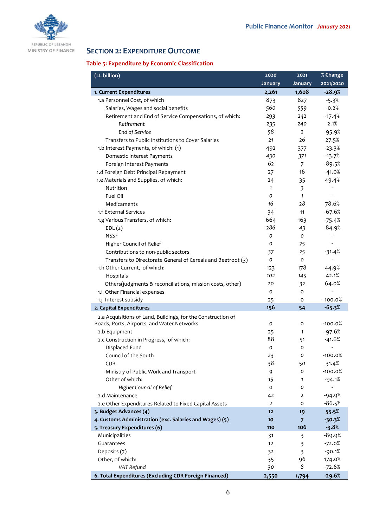

REPUBLIC OF LEBANON MINISTRY OF FINANCE

# **SECTION 2: EXPENDITURE OUTCOME**

## **Table 5: Expenditure by Economic Classification**

| (LL billion)                                                 | 2020           | 2021           | % Change                 |
|--------------------------------------------------------------|----------------|----------------|--------------------------|
|                                                              | <b>January</b> | <b>January</b> | 2021/2020                |
| 1. Current Expenditures                                      | 2,261          | 1,608          | $-28.9%$                 |
| 1.a Personnel Cost, of which                                 | 873            | 827            | $-5.3%$                  |
| Salaries, Wages and social benefits                          | 560            | 559            | $-0.2%$                  |
| Retirement and End of Service Compensations, of which:       | 293            | 242            | $-17.4%$                 |
| Retirement                                                   | 235            | 240            | 2.1%                     |
| End of Service                                               | 58             | $\overline{2}$ | $-95.9%$                 |
| Transfers to Public Institutions to Cover Salaries           | 21             | 26             | 27.5%                    |
| 1.b Interest Payments, of which: (1)                         | 492            | 377            | $-23.3%$                 |
| Domestic Interest Payments                                   | 430            | 371            | $-13.7%$                 |
| Foreign Interest Payments                                    | 62             | 7              | $-89.5%$                 |
| 1.d Foreign Debt Principal Repayment                         | 27             | 16             | $-41.0%$                 |
| 1.e Materials and Supplies, of which:                        | 24             | 35             | 49.4%                    |
| Nutrition                                                    | $\mathbf{1}$   | 3              |                          |
| Fuel Oil                                                     | 0              | $\mathbf{1}$   |                          |
| Medicaments                                                  | 16             | 28             | 78.6%                    |
| 1.f External Services                                        | 34             | 11             | $-67.6%$                 |
| 1.g Various Transfers, of which:                             | 664            | 163            | $-75.4%$                 |
| EDL(2)                                                       | 286            | 43             | $-84.9%$                 |
| <b>NSSF</b>                                                  | 0              | 0              | $\overline{\phantom{a}}$ |
| Higher Council of Relief                                     | o              | 75             | -                        |
| Contributions to non-public sectors                          | 37             | 25             | $-31.4%$                 |
| Transfers to Directorate General of Cereals and Beetroot (3) | 0              | 0              |                          |
| 1.h Other Current, of which:                                 | 123            | 178            | 44.9%                    |
| Hospitals                                                    | 102            | 145            | 42.1%                    |
| Others(judgments & reconciliations, mission costs, other)    | 20             | 32             | 64.0%                    |
| 1.i Other Financial expenses                                 | 0              | o              |                          |
| 1.j Interest subsidy                                         | 25             | o              | -100.0%                  |
| 2. Capital Expenditures                                      | 156            | 54             | $-65.3%$                 |
| 2.a Acquisitions of Land, Buildings, for the Construction of |                |                |                          |
| Roads, Ports, Airports, and Water Networks                   | 0              | 0              | -100.0%                  |
| 2.b Equipment                                                | 25             | $\mathbf{1}$   | -97.6%                   |
| 2.c Construction in Progress, of which:                      | 88             | 51             | $-41.6%$                 |
| Displaced Fund                                               | 0              | 0              | $\overline{a}$           |
| Council of the South                                         | 23             | о              | $-100.0%$                |
| <b>CDR</b>                                                   | 38             | 50             | 31.4%                    |
| Ministry of Public Work and Transport                        | 9              | ο              | $-100.0%$                |
| Other of which:                                              | 15             | 1              | $-94.1%$                 |
| Higher Council of Relief                                     | 0              | о              |                          |
| 2.d Maintenance                                              | 42             | 2              | -94.9%                   |
| 2.e Other Expenditures Related to Fixed Capital Assets       | $\overline{2}$ | 0              | $-86.5%$                 |
| 3. Budget Advances (4)                                       | 12             | 19             | 55.5%                    |
| 4. Customs Administration (exc. Salaries and Wages) (5)      | 10             | 7              | $-30.3%$                 |
| 5. Treasury Expenditures (6)                                 | 110            | 106            | $-3.8%$                  |
| Municipalities                                               | 31             | 3              | $-89.9%$                 |
| Guarantees                                                   | 12             | 3              | $-72.0%$                 |
| Deposits (7)                                                 | 32             | 3              | $-90.1%$                 |
| Other, of which:                                             | 35             | 96             | 174.0%                   |
| VAT Refund                                                   | 30             | 8              | $-72.6%$                 |
| 6. Total Expenditures (Excluding CDR Foreign Financed)       | 2,550          | 1,794          | $-29.6%$                 |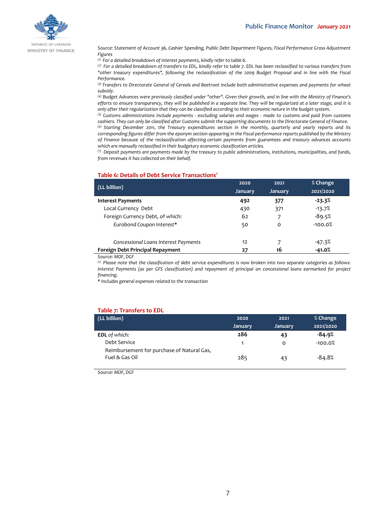

REPUBLIC OF LEBANON MINISTRY OF FINANCE

*Source: Statement of Account 36, Cashier Spending, Public Debt Department Figures, Fiscal Performance Gross Adjustment Figures*

*(1) For a detailed breakdown of interest payments, kindly refer to table 6.*

*(2) For a detailed breakdown of transfers to EDL, kindly refer to table 7. EDL has been reclassified to various transfers from "other treasury expenditures", following the reclassification of the 2009 Budget Proposal and in line with the Fiscal Performance.*

*(3) Transfers to Directorate General of Cereals and Beetroot include both administrative expenses and payments for wheat subsidy.*

*(4) Budget Advances were previously classified under "other". Given their growth, and in line with the Ministry of Finance's efforts to ensure transparency, they will be published in a separate line. They will be regularized at a later stage, and it is only after their regularization that they can be classified according to their economic nature in the budget system.*

*(5) Customs administrations include payments - excluding salaries and wages - made to customs and paid from customs cashiers. They can only be classified after Customs submit the supporting documents to the Directorate General of Finance.*

*(6) Starting December 2011, the Treasury expenditures section in the monthly, quarterly and yearly reports and its corresponding figures differ from the eponym section appearing in the Fiscal performance reports published by the Ministry of Finance because of the reclassification affecting certain payments from guarantees and treasury advances accounts which are manually reclassified in their budgetary economic classification articles.*

*(7) Deposit payments are payments made by the treasury to public administrations, institutions, municipalities, and funds, from revenues it has collected on their behalf.*

#### **Table 6: Details of Debt Service Transactions<sup>1</sup>**

| (LL billion)                         | 2020           | 2021           | % Change  |
|--------------------------------------|----------------|----------------|-----------|
|                                      | <b>January</b> | <b>January</b> | 2021/2020 |
| <b>Interest Payments</b>             | 492            | 377            | $-23.3%$  |
| Local Currency Debt                  | 430            | 371            | $-13.7%$  |
| Foreign Currency Debt, of which:     | 62             | 7              | $-89.5%$  |
| Eurobond Coupon Interest*            | 50             | o              | $-100.0%$ |
| Concessional Loans Interest Payments | 12             |                | -47.3%    |
| Foreign Debt Principal Repayment     | 27             | 16             | $-41.0%$  |

*Source: MOF, DGF*

*(1) Please note that the classification of debt service expenditures is now broken into two separate categories as follows: Interest Payments (as per GFS classification) and repayment of principal on concessional loans earmarked for project financing.*

*\* Includes general expenses related to the transaction*

#### **Table 7: Transfers to EDL**

| (LL billion)                                                 | 2020           | 2021           | % Change  |
|--------------------------------------------------------------|----------------|----------------|-----------|
|                                                              | <b>January</b> | <b>January</b> | 2021/2020 |
| <b>EDL</b> of which:                                         | 286            | 43             | $-84.9%$  |
| Debt Service                                                 |                | 0              | $-100.0%$ |
| Reimbursement for purchase of Natural Gas,<br>Fuel & Gas Oil | 285            | 43             | $-84.8%$  |

*Source: MOF, DGF*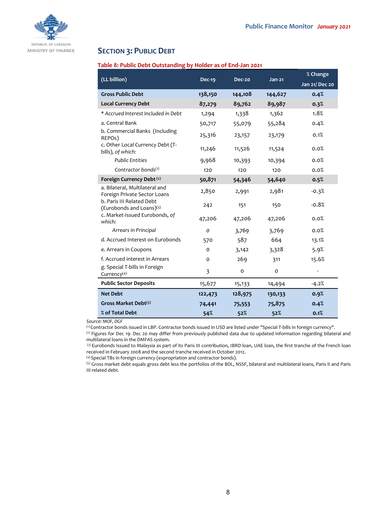

## **SECTION 3: PUBLIC DEBT**

#### **Table 8: Public Debt Outstanding by Holder as of End-Jan 2021**

| (LL billion)                                                   | <b>Dec-19</b><br>$Jan-21$<br>Dec-20 |          | % Change |                |
|----------------------------------------------------------------|-------------------------------------|----------|----------|----------------|
|                                                                |                                     |          |          | Jan 21/ Dec 20 |
| <b>Gross Public Debt</b>                                       | 138,150                             | 144,108  | 144,627  | 0.4%           |
| <b>Local Currency Debt</b>                                     | 87,279                              | 89,762   | 89,987   | 0.3%           |
| * Accrued Interest Included in Debt                            | 1,294                               | 1,338    | 1,362    | 1.8%           |
| a. Central Bank                                                | 50,717                              | 55,079   | 55,284   | 0.4%           |
| b. Commercial Banks (Including<br>REPOs)                       | 25,316                              | 23,157   | 23,179   | 0.1%           |
| c. Other Local Currency Debt (T-<br>bills), of which:          | 11,246                              | 11,526   | 11,524   | 0.0%           |
| <b>Public Entities</b>                                         | 9,968                               | 10,393   | 10,394   | 0.0%           |
| Contractor bonds <sup>(1)</sup>                                | 120                                 | 120      | 120      | 0.0%           |
| Foreign Currency Debt <sup>(2)</sup>                           | 50,871                              | 54,346   | 54,640   | 0.5%           |
| a. Bilateral, Multilateral and<br>Foreign Private Sector Loans | 2,850                               | 2,991    | 2,981    | $-0.3%$        |
| b. Paris III Related Debt<br>(Eurobonds and Loans)(3)          | 242                                 | 151      | 150      | $-0.8%$        |
| c. Market-Issued Eurobonds, of<br>which:                       | 47,206                              | 47,206   | 47,206   | 0.0%           |
| Arrears in Principal                                           | 0                                   | 3,769    | 3,769    | 0.0%           |
| d. Accrued Interest on Eurobonds                               | 570                                 | 587      | 664      | 13.1%          |
| e. Arrears in Coupons                                          | O                                   | 3,142    | 3,328    | 5.9%           |
| f. Accrued interest in Arrears                                 | o                                   | 269      | 311      | 15.6%          |
| g. Special T-bills in Foreign<br>Currency $(4)$                | 3                                   | $\Omega$ | $\Omega$ |                |
| <b>Public Sector Deposits</b>                                  | 15,677                              | 15,133   | 14,494   | $-4.2%$        |
| <b>Net Debt</b>                                                | 122,473                             | 128,975  | 130,133  | 0.9%           |
| Gross Market Debt <sup>(5)</sup>                               | 74,441                              | 75,553   | 75,875   | 0.4%           |
| % of Total Debt                                                | 54%                                 | 52%      | 52%      | 0.1%           |

*Source: MOF, DGF*

(1) Contractor bonds issued in LBP. Contractor bonds issued in USD are listed under "Special T-bills in foreign currency".

(2) Figures for Dec 19- Dec 20 may differ from previously published data due to updated information regarding bilateral and multilateral loans in the DMFAS system.

(3) Eurobonds Issued to Malaysia as part of its Paris III contribution, IBRD loan, UAE loan, the first tranche of the French loan received in February 2008 and the second tranche received in October 2012.

(4) Special TBs in foreign currency (expropriation and contractor bonds).

(5) Gross market debt equals gross debt less the portfolios of the BDL, NSSF, bilateral and multilateral loans, Paris II and Paris III related debt.